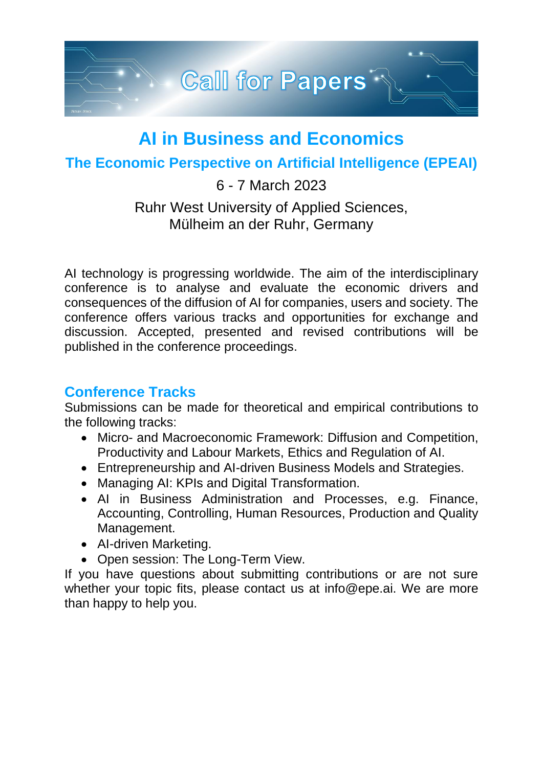

# **AI in Business and Economics**

## **The Economic Perspective on Artificial Intelligence (EPEAI)**

#### 6 - 7 March 2023

## Ruhr West University of Applied Sciences, Mülheim an der Ruhr, Germany

AI technology is progressing worldwide. The aim of the interdisciplinary conference is to analyse and evaluate the economic drivers and consequences of the diffusion of AI for companies, users and society. The conference offers various tracks and opportunities for exchange and discussion. Accepted, presented and revised contributions will be published in the conference proceedings.

## **Conference Tracks**

Submissions can be made for theoretical and empirical contributions to the following tracks:

- Micro- and Macroeconomic Framework: Diffusion and Competition, Productivity and Labour Markets, Ethics and Regulation of AI.
- Entrepreneurship and AI-driven Business Models and Strategies.
- Managing AI: KPIs and Digital Transformation.
- AI in Business Administration and Processes, e.g. Finance, Accounting, Controlling, Human Resources, Production and Quality Management.
- AI-driven Marketing.
- Open session: The Long-Term View.

If you have questions about submitting contributions or are not sure whether your topic fits, please contact us at info@epe.ai. We are more than happy to help you.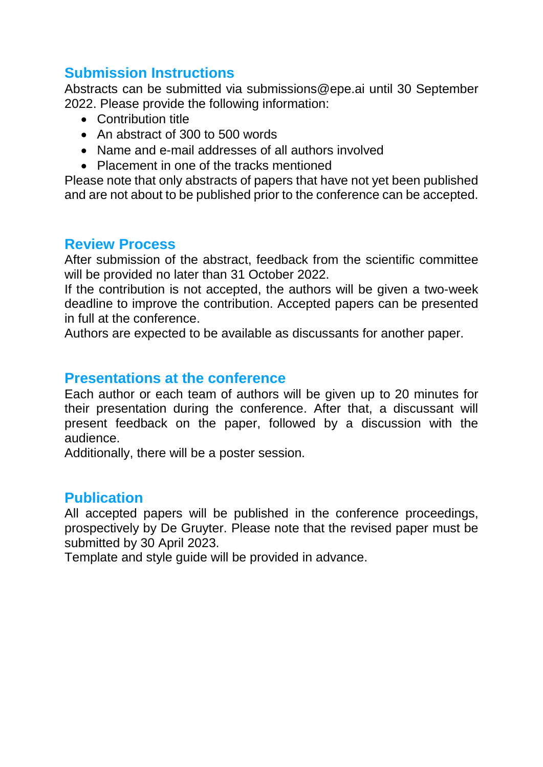# **Submission Instructions**

Abstracts can be submitted via submissions@epe.ai until 30 September 2022. Please provide the following information:

- Contribution title
- An abstract of 300 to 500 words
- Name and e-mail addresses of all authors involved
- Placement in one of the tracks mentioned

Please note that only abstracts of papers that have not yet been published and are not about to be published prior to the conference can be accepted.

#### **Review Process**

After submission of the abstract, feedback from the scientific committee will be provided no later than 31 October 2022.

If the contribution is not accepted, the authors will be given a two-week deadline to improve the contribution. Accepted papers can be presented in full at the conference.

Authors are expected to be available as discussants for another paper.

#### **Presentations at the conference**

Each author or each team of authors will be given up to 20 minutes for their presentation during the conference. After that, a discussant will present feedback on the paper, followed by a discussion with the audience.

Additionally, there will be a poster session.

## **Publication**

All accepted papers will be published in the conference proceedings, prospectively by De Gruyter. Please note that the revised paper must be submitted by 30 April 2023.

Template and style guide will be provided in advance.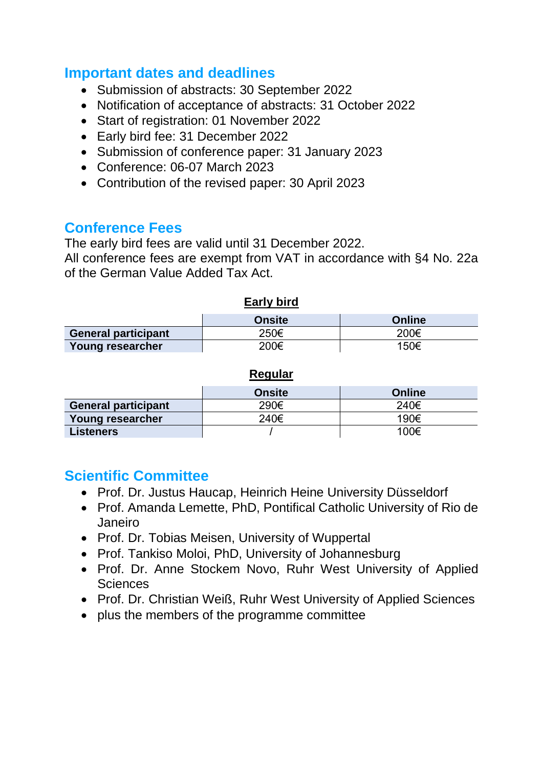#### **Important dates and deadlines**

- Submission of abstracts: 30 September 2022
- Notification of acceptance of abstracts: 31 October 2022
- Start of registration: 01 November 2022
- Early bird fee: 31 December 2022
- Submission of conference paper: 31 January 2023
- Conference: 06-07 March 2023
- Contribution of the revised paper: 30 April 2023

#### **Conference Fees**

The early bird fees are valid until 31 December 2022.

All conference fees are exempt from VAT in accordance with §4 No. 22a of the German Value Added Tax Act.

#### **Early bird Onsite Online General participant** 250€ 200€ **Young researcher** 150€ 200€ 150€

#### **Regular**

|                            | <b>Onsite</b> | Online |
|----------------------------|---------------|--------|
| <b>General participant</b> | 290€          | 240€   |
| Young researcher           | 240€          | 190€   |
| <b>Listeners</b>           |               | 100€   |

## **Scientific Committee**

- [Prof. Dr. Justus Haucap, Heinrich Heine University Düsseldorf](https://www.dice.hhu.de/diceteam/professorinnen-und-professoren/prof-dr-justus-haucap)
- Prof. Amanda Lemette, PhD, [Pontifical Catholic University of Rio de](https://www.researchgate.net/profile/Amanda-Brandao)  [Janeiro](https://www.researchgate.net/profile/Amanda-Brandao)
- [Prof. Dr. Tobias Meisen, University of Wuppertal](https://www.tmdt.uni-wuppertal.de/de/lehrstuhl/mitarbeiterinnen/prof-dr-ing-tobias-meisen/)
- Prof. Tankiso Moloi, PhD, [University of Johannesburg](https://www.uj.ac.za/members/prof-tankiso-moloi/)
- Prof. Dr. Anne Stockem [Novo, Ruhr West University of Applied](https://www.hochschule-ruhr-west.de/forschung/forschung-in-den-instituten/institut-informatik/beschaeftigte/prof-dr-anne-stockem-novo/)  **[Sciences](https://www.hochschule-ruhr-west.de/forschung/forschung-in-den-instituten/institut-informatik/beschaeftigte/prof-dr-anne-stockem-novo/)**
- [Prof. Dr. Christian Weiß, Ruhr West University of Applied Sciences](https://www.hochschule-ruhr-west.de/forschung/forschung-in-den-instituten/institut-naturwissenschaften/beschaeftigte/prof-dr-phil-nat-christian-weiss/)
- plus the members of the programme committee